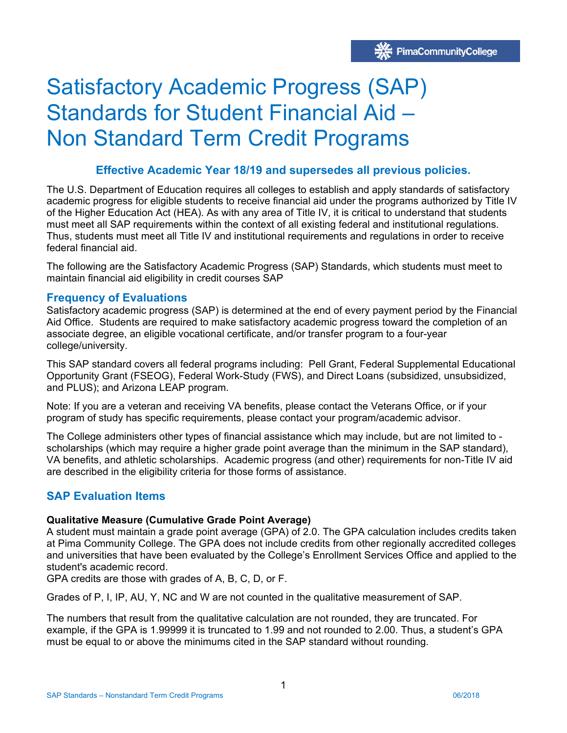# Satisfactory Academic Progress (SAP) Standards for Student Financial Aid – Non Standard Term Credit Programs

# **Effective Academic Year 18/19 and supersedes all previous policies.**

The U.S. Department of Education requires all colleges to establish and apply standards of satisfactory academic progress for eligible students to receive financial aid under the programs authorized by Title IV of the Higher Education Act (HEA). As with any area of Title IV, it is critical to understand that students must meet all SAP requirements within the context of all existing federal and institutional regulations. Thus, students must meet all Title IV and institutional requirements and regulations in order to receive federal financial aid.

The following are the Satisfactory Academic Progress (SAP) Standards, which students must meet to maintain financial aid eligibility in credit courses SAP

# **Frequency of Evaluations**

Satisfactory academic progress (SAP) is determined at the end of every payment period by the Financial Aid Office. Students are required to make satisfactory academic progress toward the completion of an associate degree, an eligible vocational certificate, and/or transfer program to a four-year college/university.

This SAP standard covers all federal programs including: Pell Grant, Federal Supplemental Educational Opportunity Grant (FSEOG), Federal Work-Study (FWS), and Direct Loans (subsidized, unsubsidized, and PLUS); and Arizona LEAP program.

Note: If you are a veteran and receiving VA benefits, please contact the Veterans Office, or if your program of study has specific requirements, please contact your program/academic advisor.

The College administers other types of financial assistance which may include, but are not limited to scholarships (which may require a higher grade point average than the minimum in the SAP standard), VA benefits, and athletic scholarships. Academic progress (and other) requirements for non-Title IV aid are described in the eligibility criteria for those forms of assistance.

# **SAP Evaluation Items**

# **Qualitative Measure (Cumulative Grade Point Average)**

A student must maintain a grade point average (GPA) of 2.0. The GPA calculation includes credits taken at Pima Community College. The GPA does not include credits from other regionally accredited colleges and universities that have been evaluated by the College's Enrollment Services Office and applied to the student's academic record.

GPA credits are those with grades of A, B, C, D, or F.

Grades of P, I, IP, AU, Y, NC and W are not counted in the qualitative measurement of SAP.

The numbers that result from the qualitative calculation are not rounded, they are truncated. For example, if the GPA is 1.99999 it is truncated to 1.99 and not rounded to 2.00. Thus, a student's GPA must be equal to or above the minimums cited in the SAP standard without rounding.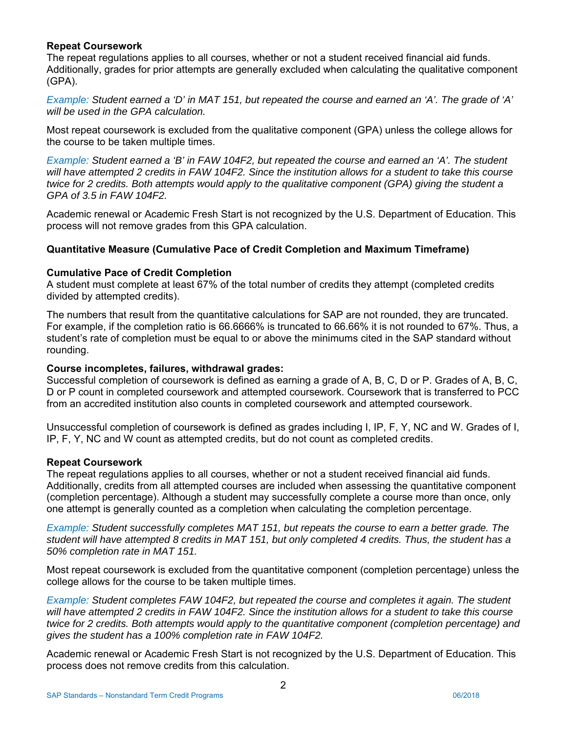# **Repeat Coursework**

The repeat regulations applies to all courses, whether or not a student received financial aid funds. Additionally, grades for prior attempts are generally excluded when calculating the qualitative component (GPA).

*Example: Student earned a 'D' in MAT 151, but repeated the course and earned an 'A'. The grade of 'A' will be used in the GPA calculation.* 

Most repeat coursework is excluded from the qualitative component (GPA) unless the college allows for the course to be taken multiple times.

*Example: Student earned a 'B' in FAW 104F2, but repeated the course and earned an 'A'. The student will have attempted 2 credits in FAW 104F2. Since the institution allows for a student to take this course twice for 2 credits. Both attempts would apply to the qualitative component (GPA) giving the student a GPA of 3.5 in FAW 104F2.* 

Academic renewal or Academic Fresh Start is not recognized by the U.S. Department of Education. This process will not remove grades from this GPA calculation.

## **Quantitative Measure (Cumulative Pace of Credit Completion and Maximum Timeframe)**

#### **Cumulative Pace of Credit Completion**

A student must complete at least 67% of the total number of credits they attempt (completed credits divided by attempted credits).

The numbers that result from the quantitative calculations for SAP are not rounded, they are truncated. For example, if the completion ratio is 66.6666% is truncated to 66.66% it is not rounded to 67%. Thus, a student's rate of completion must be equal to or above the minimums cited in the SAP standard without rounding.

#### **Course incompletes, failures, withdrawal grades:**

Successful completion of coursework is defined as earning a grade of A, B, C, D or P. Grades of A, B, C, D or P count in completed coursework and attempted coursework. Coursework that is transferred to PCC from an accredited institution also counts in completed coursework and attempted coursework.

Unsuccessful completion of coursework is defined as grades including I, IP, F, Y, NC and W. Grades of I, IP, F, Y, NC and W count as attempted credits, but do not count as completed credits.

#### **Repeat Coursework**

The repeat regulations applies to all courses, whether or not a student received financial aid funds. Additionally, credits from all attempted courses are included when assessing the quantitative component (completion percentage). Although a student may successfully complete a course more than once, only one attempt is generally counted as a completion when calculating the completion percentage.

*Example: Student successfully completes MAT 151, but repeats the course to earn a better grade. The student will have attempted 8 credits in MAT 151, but only completed 4 credits. Thus, the student has a 50% completion rate in MAT 151.* 

Most repeat coursework is excluded from the quantitative component (completion percentage) unless the college allows for the course to be taken multiple times.

*Example: Student completes FAW 104F2, but repeated the course and completes it again. The student will have attempted 2 credits in FAW 104F2. Since the institution allows for a student to take this course twice for 2 credits. Both attempts would apply to the quantitative component (completion percentage) and gives the student has a 100% completion rate in FAW 104F2.* 

Academic renewal or Academic Fresh Start is not recognized by the U.S. Department of Education. This process does not remove credits from this calculation.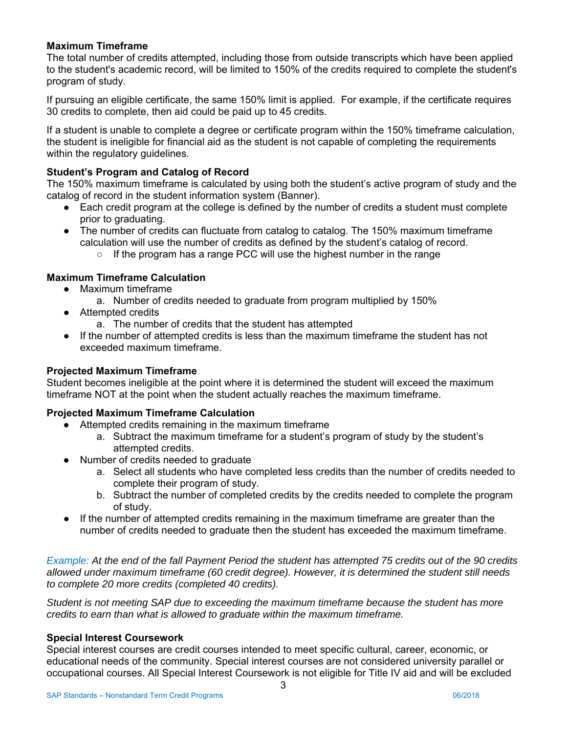# **Maximum Timeframe**

The total number of credits attempted, including those from outside transcripts which have been applied to the student's academic record, will be limited to 150% of the credits required to complete the student's program of study.

If pursuing an eligible certificate, the same 150% limit is applied. For example, if the certificate requires 30 credits to complete, then aid could be paid up to 45 credits.

If a student is unable to complete a degree or certificate program within the 150% timeframe calculation, the student is ineligible for financial aid as the student is not capable of completing the requirements within the regulatory guidelines.

# **Student's Program and Catalog of Record**

The 150% maximum timeframe is calculated by using both the student's active program of study and the catalog of record in the student information system (Banner).

- Each credit program at the college is defined by the number of credits a student must complete prior to graduating.
- The number of credits can fluctuate from catalog to catalog. The 150% maximum timeframe calculation will use the number of credits as defined by the student's catalog of record.
	- If the program has a range PCC will use the highest number in the range

# **Maximum Timeframe Calculation**

- Maximum timeframe
	- a. Number of credits needed to graduate from program multiplied by 150%
- Attempted credits
	- a. The number of credits that the student has attempted
- If the number of attempted credits is less than the maximum timeframe the student has not exceeded maximum timeframe.

# **Projected Maximum Timeframe**

Student becomes ineligible at the point where it is determined the student will exceed the maximum timeframe NOT at the point when the student actually reaches the maximum timeframe.

# **Projected Maximum Timeframe Calculation**

- Attempted credits remaining in the maximum timeframe
	- a. Subtract the maximum timeframe for a student's program of study by the student's attempted credits.
- Number of credits needed to graduate
	- a. Select all students who have completed less credits than the number of credits needed to complete their program of study.
	- b. Subtract the number of completed credits by the credits needed to complete the program of study.
- If the number of attempted credits remaining in the maximum timeframe are greater than the number of credits needed to graduate then the student has exceeded the maximum timeframe.

*Example: At the end of the fall Payment Period the student has attempted 75 credits out of the 90 credits allowed under maximum timeframe (60 credit degree). However, it is determined the student still needs to complete 20 more credits (completed 40 credits).* 

*Student is not meeting SAP due to exceeding the maximum timeframe because the student has more credits to earn than what is allowed to graduate within the maximum timeframe.* 

# **Special Interest Coursework**

Special interest courses are credit courses intended to meet specific cultural, career, economic, or educational needs of the community. Special interest courses are not considered university parallel or occupational courses. All Special Interest Coursework is not eligible for Title IV aid and will be excluded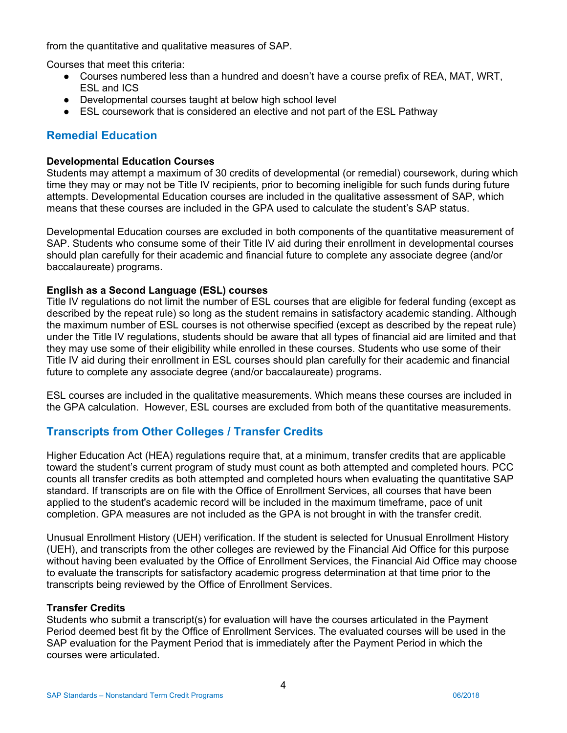from the quantitative and qualitative measures of SAP.

Courses that meet this criteria:

- Courses numbered less than a hundred and doesn't have a course prefix of REA, MAT, WRT, ESL and ICS
- Developmental courses taught at below high school level
- ESL coursework that is considered an elective and not part of the ESL Pathway

# **Remedial Education**

## **Developmental Education Courses**

Students may attempt a maximum of 30 credits of developmental (or remedial) coursework, during which time they may or may not be Title IV recipients, prior to becoming ineligible for such funds during future attempts. Developmental Education courses are included in the qualitative assessment of SAP, which means that these courses are included in the GPA used to calculate the student's SAP status.

Developmental Education courses are excluded in both components of the quantitative measurement of SAP. Students who consume some of their Title IV aid during their enrollment in developmental courses should plan carefully for their academic and financial future to complete any associate degree (and/or baccalaureate) programs.

## **English as a Second Language (ESL) courses**

Title IV regulations do not limit the number of ESL courses that are eligible for federal funding (except as described by the repeat rule) so long as the student remains in satisfactory academic standing. Although the maximum number of ESL courses is not otherwise specified (except as described by the repeat rule) under the Title IV regulations, students should be aware that all types of financial aid are limited and that they may use some of their eligibility while enrolled in these courses. Students who use some of their Title IV aid during their enrollment in ESL courses should plan carefully for their academic and financial future to complete any associate degree (and/or baccalaureate) programs.

ESL courses are included in the qualitative measurements. Which means these courses are included in the GPA calculation. However, ESL courses are excluded from both of the quantitative measurements.

# **Transcripts from Other Colleges / Transfer Credits**

Higher Education Act (HEA) regulations require that, at a minimum, transfer credits that are applicable toward the student's current program of study must count as both attempted and completed hours. PCC counts all transfer credits as both attempted and completed hours when evaluating the quantitative SAP standard. If transcripts are on file with the Office of Enrollment Services, all courses that have been applied to the student's academic record will be included in the maximum timeframe, pace of unit completion. GPA measures are not included as the GPA is not brought in with the transfer credit.

Unusual Enrollment History (UEH) verification. If the student is selected for Unusual Enrollment History (UEH), and transcripts from the other colleges are reviewed by the Financial Aid Office for this purpose without having been evaluated by the Office of Enrollment Services, the Financial Aid Office may choose to evaluate the transcripts for satisfactory academic progress determination at that time prior to the transcripts being reviewed by the Office of Enrollment Services.

# **Transfer Credits**

Students who submit a transcript(s) for evaluation will have the courses articulated in the Payment Period deemed best fit by the Office of Enrollment Services. The evaluated courses will be used in the SAP evaluation for the Payment Period that is immediately after the Payment Period in which the courses were articulated.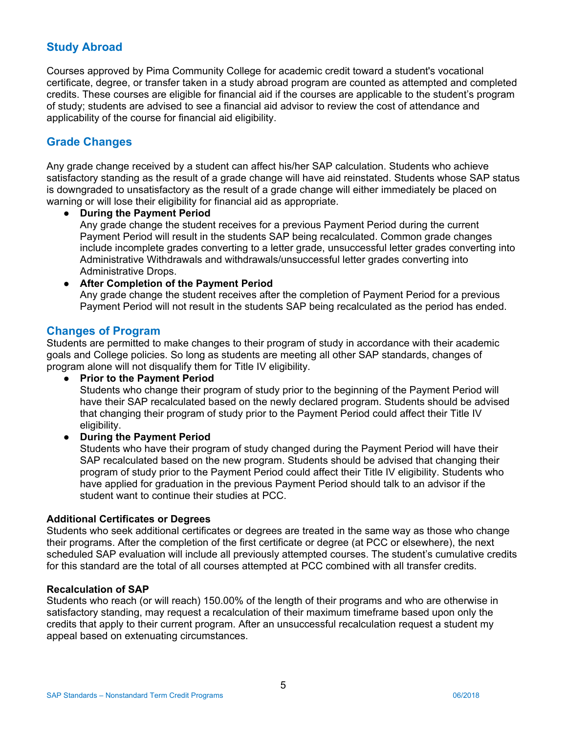# **Study Abroad**

Courses approved by Pima Community College for academic credit toward a student's vocational certificate, degree, or transfer taken in a study abroad program are counted as attempted and completed credits. These courses are eligible for financial aid if the courses are applicable to the student's program of study; students are advised to see a financial aid advisor to review the cost of attendance and applicability of the course for financial aid eligibility.

# **Grade Changes**

Any grade change received by a student can affect his/her SAP calculation. Students who achieve satisfactory standing as the result of a grade change will have aid reinstated. Students whose SAP status is downgraded to unsatisfactory as the result of a grade change will either immediately be placed on warning or will lose their eligibility for financial aid as appropriate.

## **During the Payment Period**

Any grade change the student receives for a previous Payment Period during the current Payment Period will result in the students SAP being recalculated. Common grade changes include incomplete grades converting to a letter grade, unsuccessful letter grades converting into Administrative Withdrawals and withdrawals/unsuccessful letter grades converting into Administrative Drops.

# ● **After Completion of the Payment Period**

Any grade change the student receives after the completion of Payment Period for a previous Payment Period will not result in the students SAP being recalculated as the period has ended.

# **Changes of Program**

Students are permitted to make changes to their program of study in accordance with their academic goals and College policies. So long as students are meeting all other SAP standards, changes of program alone will not disqualify them for Title IV eligibility.

#### ● **Prior to the Payment Period**

Students who change their program of study prior to the beginning of the Payment Period will have their SAP recalculated based on the newly declared program. Students should be advised that changing their program of study prior to the Payment Period could affect their Title IV eligibility.

# ● **During the Payment Period**

Students who have their program of study changed during the Payment Period will have their SAP recalculated based on the new program. Students should be advised that changing their program of study prior to the Payment Period could affect their Title IV eligibility. Students who have applied for graduation in the previous Payment Period should talk to an advisor if the student want to continue their studies at PCC.

#### **Additional Certificates or Degrees**

Students who seek additional certificates or degrees are treated in the same way as those who change their programs. After the completion of the first certificate or degree (at PCC or elsewhere), the next scheduled SAP evaluation will include all previously attempted courses. The student's cumulative credits for this standard are the total of all courses attempted at PCC combined with all transfer credits.

#### **Recalculation of SAP**

Students who reach (or will reach) 150.00% of the length of their programs and who are otherwise in satisfactory standing, may request a recalculation of their maximum timeframe based upon only the credits that apply to their current program. After an unsuccessful recalculation request a student my appeal based on extenuating circumstances.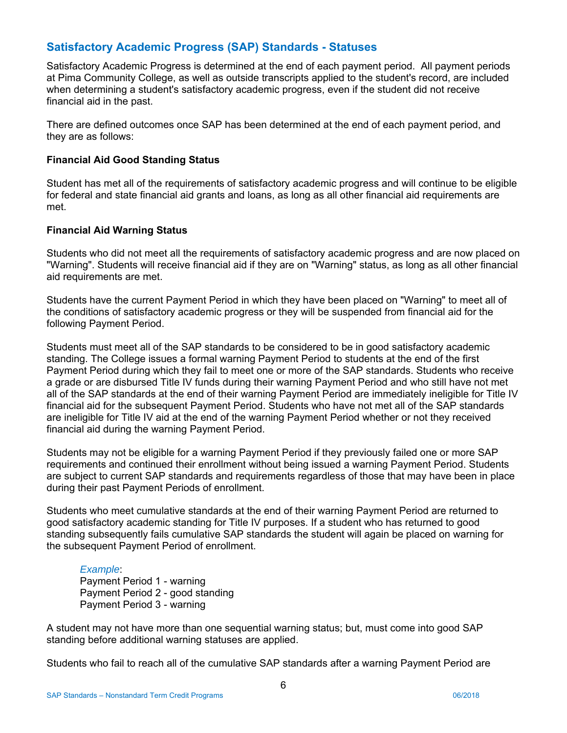# **Satisfactory Academic Progress (SAP) Standards - Statuses**

Satisfactory Academic Progress is determined at the end of each payment period. All payment periods at Pima Community College, as well as outside transcripts applied to the student's record, are included when determining a student's satisfactory academic progress, even if the student did not receive financial aid in the past.

There are defined outcomes once SAP has been determined at the end of each payment period, and they are as follows:

## **Financial Aid Good Standing Status**

Student has met all of the requirements of satisfactory academic progress and will continue to be eligible for federal and state financial aid grants and loans, as long as all other financial aid requirements are met.

## **Financial Aid Warning Status**

Students who did not meet all the requirements of satisfactory academic progress and are now placed on "Warning". Students will receive financial aid if they are on "Warning" status, as long as all other financial aid requirements are met.

Students have the current Payment Period in which they have been placed on "Warning" to meet all of the conditions of satisfactory academic progress or they will be suspended from financial aid for the following Payment Period.

Students must meet all of the SAP standards to be considered to be in good satisfactory academic standing. The College issues a formal warning Payment Period to students at the end of the first Payment Period during which they fail to meet one or more of the SAP standards. Students who receive a grade or are disbursed Title IV funds during their warning Payment Period and who still have not met all of the SAP standards at the end of their warning Payment Period are immediately ineligible for Title IV financial aid for the subsequent Payment Period. Students who have not met all of the SAP standards are ineligible for Title IV aid at the end of the warning Payment Period whether or not they received financial aid during the warning Payment Period.

Students may not be eligible for a warning Payment Period if they previously failed one or more SAP requirements and continued their enrollment without being issued a warning Payment Period. Students are subject to current SAP standards and requirements regardless of those that may have been in place during their past Payment Periods of enrollment.

Students who meet cumulative standards at the end of their warning Payment Period are returned to good satisfactory academic standing for Title IV purposes. If a student who has returned to good standing subsequently fails cumulative SAP standards the student will again be placed on warning for the subsequent Payment Period of enrollment.

#### *Example*:

Payment Period 1 - warning Payment Period 2 - good standing Payment Period 3 - warning

A student may not have more than one sequential warning status; but, must come into good SAP standing before additional warning statuses are applied.

Students who fail to reach all of the cumulative SAP standards after a warning Payment Period are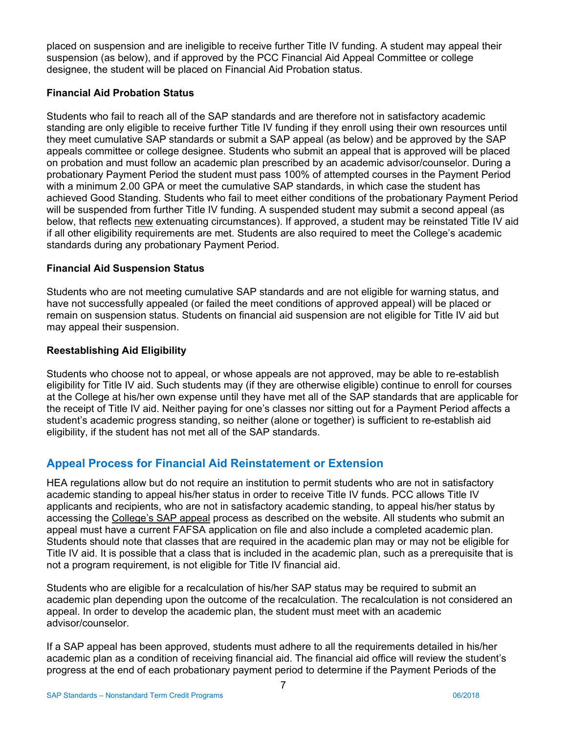placed on suspension and are ineligible to receive further Title IV funding. A student may appeal their suspension (as below), and if approved by the PCC Financial Aid Appeal Committee or college designee, the student will be placed on Financial Aid Probation status.

# **Financial Aid Probation Status**

Students who fail to reach all of the SAP standards and are therefore not in satisfactory academic standing are only eligible to receive further Title IV funding if they enroll using their own resources until they meet cumulative SAP standards or submit a SAP appeal (as below) and be approved by the SAP appeals committee or college designee. Students who submit an appeal that is approved will be placed on probation and must follow an academic plan prescribed by an academic advisor/counselor. During a probationary Payment Period the student must pass 100% of attempted courses in the Payment Period with a minimum 2.00 GPA or meet the cumulative SAP standards, in which case the student has achieved Good Standing. Students who fail to meet either conditions of the probationary Payment Period will be suspended from further Title IV funding. A suspended student may submit a second appeal (as below, that reflects new extenuating circumstances). If approved, a student may be reinstated Title IV aid if all other eligibility requirements are met. Students are also required to meet the College's academic standards during any probationary Payment Period.

# **Financial Aid Suspension Status**

Students who are not meeting cumulative SAP standards and are not eligible for warning status, and have not successfully appealed (or failed the meet conditions of approved appeal) will be placed or remain on suspension status. Students on financial aid suspension are not eligible for Title IV aid but may appeal their suspension.

# **Reestablishing Aid Eligibility**

 student's academic progress standing, so neither (alone or together) is sufficient to re-establish aid Students who choose not to appeal, or whose appeals are not approved, may be able to re-establish eligibility for Title IV aid. Such students may (if they are otherwise eligible) continue to enroll for courses at the College at his/her own expense until they have met all of the SAP standards that are applicable for the receipt of Title IV aid. Neither paying for one's classes nor sitting out for a Payment Period affects a eligibility, if the student has not met all of the SAP standards.

# **Appeal Process for Financial Aid Reinstatement or Extension**

HEA regulations allow but do not require an institution to permit students who are not in satisfactory academic standing to appeal his/her status in order to receive Title IV funds. PCC allows Title IV applicants and recipients, who are not in satisfactory academic standing, to appeal his/her status by accessing the College's SAP appeal process as described on the website. All students who submit an appeal must have a current FAFSA application on file and also include a completed academic plan. Students should note that classes that are required in the academic plan may or may not be eligible for Title IV aid. It is possible that a class that is included in the academic plan, such as a prerequisite that is not a program requirement, is not eligible for Title IV financial aid.

Students who are eligible for a recalculation of his/her SAP status may be required to submit an academic plan depending upon the outcome of the recalculation. The recalculation is not considered an appeal. In order to develop the academic plan, the student must meet with an academic advisor/counselor.

If a SAP appeal has been approved, students must adhere to all the requirements detailed in his/her academic plan as a condition of receiving financial aid. The financial aid office will review the student's progress at the end of each probationary payment period to determine if the Payment Periods of the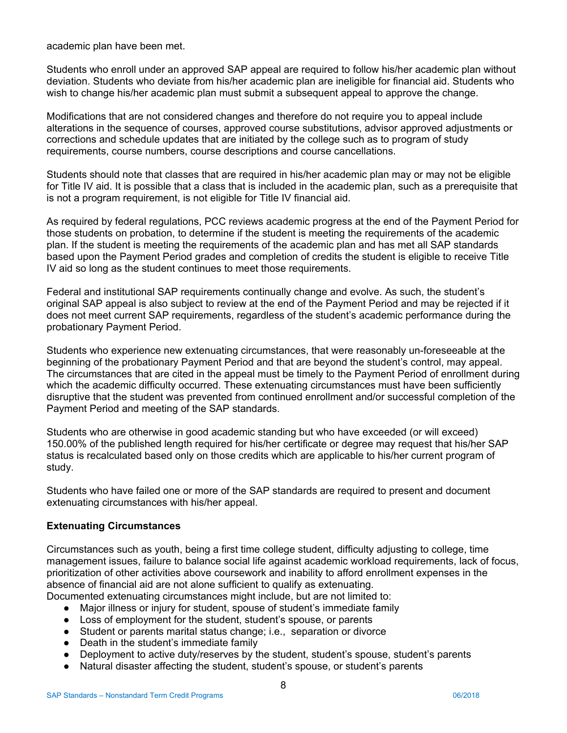academic plan have been met.

Students who enroll under an approved SAP appeal are required to follow his/her academic plan without deviation. Students who deviate from his/her academic plan are ineligible for financial aid. Students who wish to change his/her academic plan must submit a subsequent appeal to approve the change.

Modifications that are not considered changes and therefore do not require you to appeal include alterations in the sequence of courses, approved course substitutions, advisor approved adjustments or corrections and schedule updates that are initiated by the college such as to program of study requirements, course numbers, course descriptions and course cancellations.

Students should note that classes that are required in his/her academic plan may or may not be eligible for Title IV aid. It is possible that a class that is included in the academic plan, such as a prerequisite that is not a program requirement, is not eligible for Title IV financial aid.

As required by federal regulations, PCC reviews academic progress at the end of the Payment Period for those students on probation, to determine if the student is meeting the requirements of the academic plan. If the student is meeting the requirements of the academic plan and has met all SAP standards based upon the Payment Period grades and completion of credits the student is eligible to receive Title IV aid so long as the student continues to meet those requirements.

Federal and institutional SAP requirements continually change and evolve. As such, the student's original SAP appeal is also subject to review at the end of the Payment Period and may be rejected if it does not meet current SAP requirements, regardless of the student's academic performance during the probationary Payment Period.

Students who experience new extenuating circumstances, that were reasonably un-foreseeable at the beginning of the probationary Payment Period and that are beyond the student's control, may appeal. The circumstances that are cited in the appeal must be timely to the Payment Period of enrollment during which the academic difficulty occurred. These extenuating circumstances must have been sufficiently disruptive that the student was prevented from continued enrollment and/or successful completion of the Payment Period and meeting of the SAP standards.

Students who are otherwise in good academic standing but who have exceeded (or will exceed) 150.00% of the published length required for his/her certificate or degree may request that his/her SAP status is recalculated based only on those credits which are applicable to his/her current program of study.

Students who have failed one or more of the SAP standards are required to present and document extenuating circumstances with his/her appeal.

# **Extenuating Circumstances**

Circumstances such as youth, being a first time college student, difficulty adjusting to college, time management issues, failure to balance social life against academic workload requirements, lack of focus, prioritization of other activities above coursework and inability to afford enrollment expenses in the absence of financial aid are not alone sufficient to qualify as extenuating.

Documented extenuating circumstances might include, but are not limited to:

- Major illness or injury for student, spouse of student's immediate family
- Loss of employment for the student, student's spouse, or parents
- Student or parents marital status change; i.e., separation or divorce
- Death in the student's immediate family
- Deployment to active duty/reserves by the student, student's spouse, student's parents
- Natural disaster affecting the student, student's spouse, or student's parents